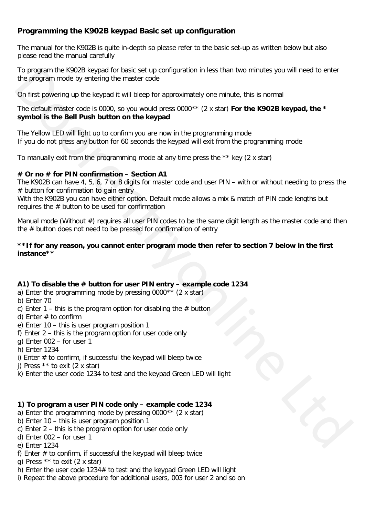## **Programming the K902B keypad Basic set up configuration**

The manual for the K902B is quite in-depth so please refer to the basic set-up as written below but also please read the manual carefully

To program the K902B keypad for basic set up configuration in less than two minutes you will need to enter the program mode by entering the master code

On first powering up the keypad it will bleep for approximately one minute, this is normal

The default master code is 0000, so you would press 0000\*\* (2 x star) **For the K902B keypad, the \* symbol is the Bell Push button on the keypad**

The Yellow LED will light up to confirm you are now in the programming mode If you do not press any button for 60 seconds the keypad will exit from the programming mode

To manually exit from the programming mode at any time press the \*\* key (2 x star)

#### **# Or no # for PIN confirmation – Section A1**

The K902B can have 4, 5, 6, 7 or 8 digits for master code and user PIN – with or without needing to press the  $#$  button for confirmation to gain entry

With the K902B you can have either option. Default mode allows a mix & match of PIN code lengths but requires the  $#$  button to be used for confirmation

Manual mode (Without #) requires all user PIN codes to be the same digit length as the master code and then the # button does not need to be pressed for confirmation of entry To move that the streament the streament of the streament of the streament of the streament of the streament of the streament of the streament of the streament of the streament of the streament of the streament of the str

#### **\*\*If for any reason, you cannot enter program mode then refer to section 7 below in the first instance\*\***

## **A1) To disable the # button for user PIN entry – example code 1234**

- a) Enter the programming mode by pressing 0000\*\* (2 x star)
- b) Enter 70
- c) Enter 1 this is the program option for disabling the  $#$  button
- d) Enter  $#$  to confirm
- e) Enter 10 this is user program position 1
- f) Enter 2 this is the program option for user code only
- g) Enter 002 for user 1
- h) Enter 1234
- i) Enter # to confirm, if successful the keypad will bleep twice
- j) Press \*\* to exit (2 x star)
- k) Enter the user code 1234 to test and the keypad Green LED will light

## **1) To program a user PIN code only – example code 1234**

- a) Enter the programming mode by pressing 0000\*\* (2 x star)
- b) Enter 10 this is user program position 1
- c) Enter 2 this is the program option for user code only
- d) Enter 002 for user 1
- e) Enter 1234
- f) Enter  $#$  to confirm, if successful the keypad will bleep twice
- g) Press  $**$  to exit (2 x star)
- h) Enter the user code 1234# to test and the keypad Green LED will light
- i) Repeat the above procedure for additional users, 003 for user 2 and so on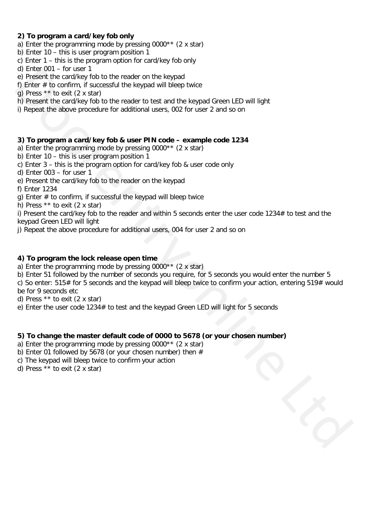## **2) To program a card/key fob only**

- a) Enter the programming mode by pressing 0000\*\* (2 x star)
- b) Enter 10 this is user program position 1
- c) Enter 1 this is the program option for card/key fob only
- d) Enter 001 for user 1
- e) Present the card/key fob to the reader on the keypad
- f) Enter  $#$  to confirm, if successful the keypad will bleep twice
- g) Press \*\* to exit (2 x star)
- h) Present the card/key fob to the reader to test and the keypad Green LED will light
- i) Repeat the above procedure for additional users, 002 for user 2 and so on

#### **3) To program a card/key fob & user PIN code – example code 1234**

- a) Enter the programming mode by pressing 0000\*\* (2 x star)
- b) Enter 10 this is user program position 1
- c) Enter 3 this is the program option for card/key fob & user code only
- d) Enter 003 for user 1
- e) Present the card/key fob to the reader on the keypad
- f) Enter 1234
- q) Enter  $#$  to confirm, if successful the keypad will bleep twice
- h) Press \*\* to exit (2 x star)

i) Present the card/key fob to the reader and within 5 seconds enter the user code 1234# to test and the keypad Green LED will light

j) Repeat the above procedure for additional users, 004 for user 2 and so on

#### **4) To program the lock release open time**

- a) Enter the programming mode by pressing 0000\*\* (2 x star)
- b) Enter 51 followed by the number of seconds you require, for 5 seconds you would enter the number 5
- c) So enter:  $515#$  for 5 seconds and the keypad will bleep twice to confirm your action, entering  $519#$  would be for 9 seconds etc d) Inter of the start in the location of the stepsed<br>of the start of the stepsed to the reader on the stepsed<br>of the stepsed through the stepsed through of the reader of the start in the Kingdian of the<br>matrix in the cond
- d) Press \*\* to exit (2 x star)
- e) Enter the user code 1234# to test and the keypad Green LED will light for 5 seconds

## **5) To change the master default code of 0000 to 5678 (or your chosen number)**

- a) Enter the programming mode by pressing 0000\*\* (2 x star)
- b) Enter 01 followed by 5678 (or your chosen number) then  $#$
- c) The keypad will bleep twice to confirm your action
- d) Press \*\* to exit (2 x star)